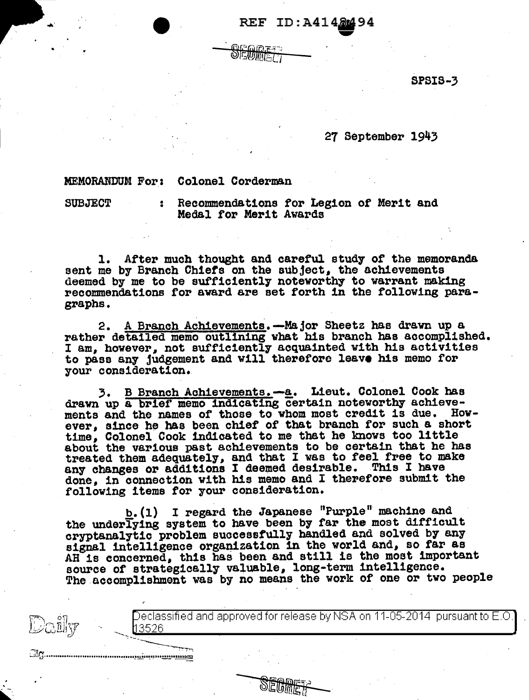## REF ID:A4148494

SPSIS-3

27 September 1943

## MEMORANDUM For: Colonel Corderman

' ~· SUBJECT : Recommendations for Legion of Merit and Medal for Merit Awards

1. After much thought and careful study of the memoranda sent me by Branch Chiefs on the subject, the achievements deemed by me to be sufficiently noteworthy to warrant making recommendations for award are set forth in the following paragraphs.

2. A Branch Achievements.-Major Sheetz has drawn up a rather detailed memo outlining what his branch has accomplished. I am, however, not sufficiently acquainted with his activities to pass any judgement and will therefore leave his memo for your consideration.

*3.* B Branch Achievements. -a. Lieut. Colonel Cook bas drawn up a brief memo indicating certain noteworthy achieve-<br>ments and the names of those to yhom most credit is due. Howments and the names of those to whom most credit is due. ever, since he has been chief of that branch for such a short time, Colonel Cook indicated to me that he knows too little about the various past achievements to be certain that he has treated them adequately, and that I was to feel free to make any changes or additions I deemed desirable. This I have done, in connection vith his memo and I therefore submit the following items for your consideration.

b.  $(1)$  I regard the Japanese "Purple" machine and the underlying system to have been by far the most difficult cryptanalytic problem successfully handled and solved by any signal intelligence organization in the world and, so far as AH is concerned, this has been and still is the most important source of strategically valuable, long-term intelligence. The accomplishment was by no means the work of one or two people

> Declassified and approved for release by NSA on 11-05-2014  $\,$  pursuant to E.O.  $\,$ 13526

~~>-~-3~5~2~6-----------------------------------------------------------------'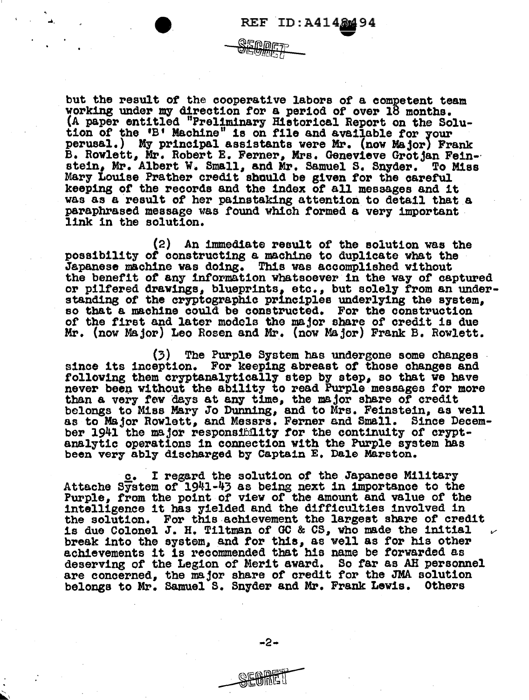$\blacktriangledown$ 

but the result *ot* the cooperative labors of a competent team working under my direction tor a period of over 18 months. (A paper entitled "Preliminary Hietorical Report on the Solution of the 'B' Machine" is on file and available for your perusal.) My principal assistants vere Mr. (now Major) Frank B. Rowlett, Mr. Robert E. Ferner, Mrs. Genevieve Grotjan Fein-·<br>stein, Mr. Albert W. Small, and Mr. Samuel S. Snyder. To Miss stein, Mr. Albert W. Small, and Mr. Samuel S. Snyder. Mary Louise Prather credit should be given for the careful keeping or the records and the index *ot* all messages and it was as a result of her painstaking attention to detail that a paraphrased message was found which formed a very important link in the solution.

**SEMDE7** 

(2) An immediate result of the solution was the possibility of oonstruet1ng a machine to duplicate what the Japanese machine was doing. Th1s vas accomplished without the benefit *ot* any 1ntoFmation whatsoever in the way *ot* captured or pilfered drawings, blueprints, etc., but solely from an understanding of the cryptographic principles underlying the system, so that a machine could be constructed. For the construction of the first and later models the major share of credit is due Mr. (now Major) Leo Rosen and Mr. (now Major) Frank B. Rowlett.

(3) The Purple Srstem bas undergone some changes since its inception. For keeping abreast *ot* those changes and following them cryptanalytically step by step, so that we have never been without the ability to read Purple messages for more than a very rev days at any time, the major share of credit belongs to Mies Mary Jo Dunning, and to Mrs. Feinstein, as well as to Major Rowlett, and Messrs. Ferner and Small. Since December 1941 the major responsibility for the continuity of crypt-<br>analytic operations in connection with the Purple system has been very abl7 discharged by Captain E. Dale Marston.

c. I regard the solution *ot* the Japanese Military Attache System of 1941-43 as being next in importance to the Purple, from the point or view of the amount and value of the intelligence it has yielded and the difficulties involved in the solution. For this-achievement the largeet share or credit is due Colonel J. H. Tiltman of GC & CS, who made the initial break into the system, and tor this, as well as for his other achievements it is recommended that his name be forwarded as deserving of the Legion of Merit award. So rar as AH personnel are concerned, the major share of credit for the JMA solution belongs to Mr. Samuel s. Snyder and Mr. Frank Lewis. Others

-2-

 $\blacktriangleright$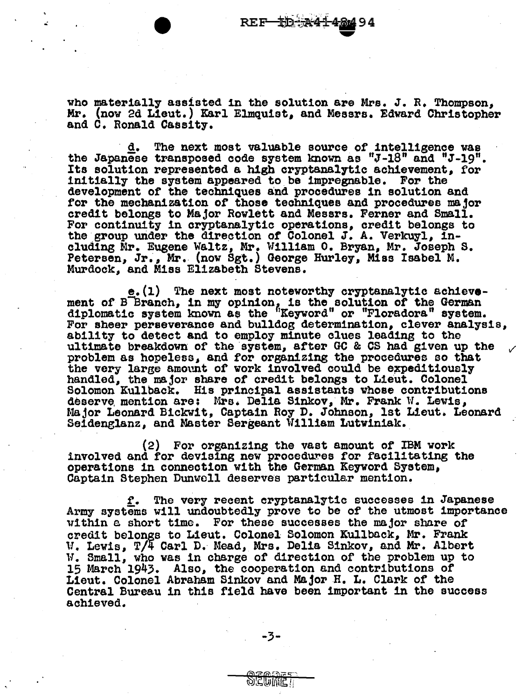who materially assisted in the solution are Mrs. J. R. Thompson, Mr. (now 2d Lieut.) Karl Elmquist, and Messrs. Edward Christopher and c. Ronald Cassity.

 $d.$  The next most valuable source of intelligence was the Japanese transposed oode system known as "J-18" and "J-19". Its solution represented a high cryptsnal7tic achievement, for initially the system appeared to be impregnable. For the development or the techniques and procedures in solution and for the mechanization or those techniques and procedures major credit belongs to Major Rowlett and Messrs. Ferner and Small. For continuity in cryptanalytic operations, credit belongs to the group under the direction of Colonel J. A. Verkuyl, including Mr. Eugene Waltz, Mr. William o. Bryan, Mr. Joseph s. Petersen, Jr., Mr. (now Sgt.) George Hurley, Miss Isabel M. Murdock, and Miss Elizabeth Stevens.

e.(l) The next most noteworthy cryptanalytic achievement of Blanch, in my opinion, is the solution of the German diplomatic system known as the "Keyword" or "Floradora" system.<br>For sheer perseverance and bulldog determination, clever analysis, ability to detect and to employ minute clues leading to the ability to detect and to employ minute clues leading to the *v* ultimate breakdown of the system, after GC & CS had given up the problem as hopeless, and for organizing the procedures so that the very large amount of work involved could be expeditiously handled, the major share of credit belongs to Lieut. Colonel Solomon Kullback. His principal assistants whose contributions deserve mention are: Mrs. Delia Sinkov, Mr. Frank W. Lewis, Major Leonard Bickwit, Captain Roy D. Johnson, lst Lieut. Leonard Seidenglanz, and Master Sergeant William Lutviniak.

(2) For organizing the vast amount of IBM work involved and for devising new procedures for facilitating the operations in connection with the German Keyword Syetem, Captain Stephen Dunwoll deserves particular mention.

f. The very recent cryptanalytic successes in Japanese<br>Army systems will undoubtedly prove to be of the utmost importance<br>within a short time. For these successes the major share of credit belongs to Lieut. Colonel Solomon Kullback, Mr. Frank ll. Lewis, T/4 Carl D. Mead, Mrs. Delia. Sinkov, and Mr. Albert W. Small, who was in charge of direction of the problem up to 15 March 1943. Also, the cooperation and contributions *ot*  Lieut. Colonel Abraham Sinkov and Major H. L. Clark of the Central Bureau in this field have been important 1n the success achieved.

<u>oemie i</u>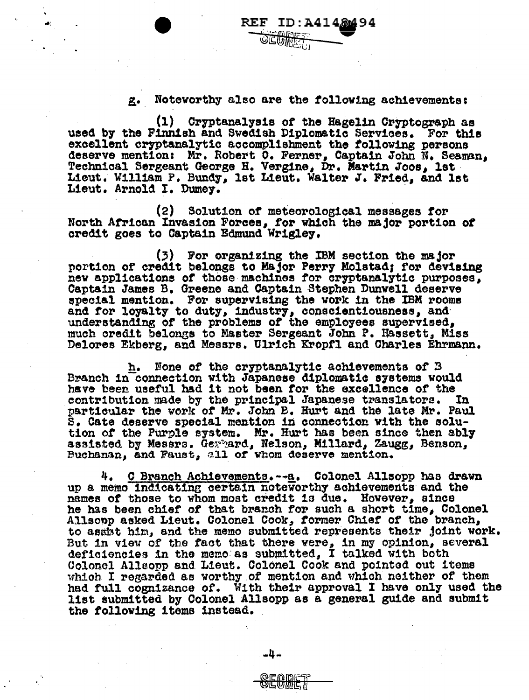## Noteworthy also are the following achievements: g.

(1) Cryptanalysis of the Hagelin Cryptograph as used by the Finnish and Swedish Diplomatic Services. For this excellent cryptanalytic accomplishment the following persons deserve mention: Mr. Robert 0. Ferner, Captain John N. Seaman, Technical Sergeant George H. Vergine, Dr. Martin Joos, 1st Lieut. William P. Bundy, 1st Lieut. Walter J. Fried, and 1st Lieut. Arnold I. Dumey.

(2) Solution of meteorological messages for North African Invasion Forces, for which the major portion of credit goes to Captain Edmund Wrigley.

(3) For organizing the IBM section the major portion of credit belongs to Major Perry Molstad; for devising new applications of those machines for cryptanalytic purposes. Captain James B. Greene and Captain Stephen Dunwell deserve special mention. For supervising the work in the IBM rooms and for loyalty to duty, industry, conscientiousness, and understanding of the problems of the employees supervised, much credit belongs to Master Sergeant John P. Hassett, Miss Delores Ekberg, and Messrs. Ulrich Kropfl and Charles Ehrmann.

None of the cryptanalytic achievements of B h. Branch in connection with Japanese diplomatic systems would have been useful had it not been for the excellence of the contribution made by the principal Japanese translators. In particular the work of Mr. John B. Hurt and the late Mr. Paul S. Cate deserve special mention in connection with the solution of the Purple system. Mr. Hurt has been since then ably assisted by Messrs. Germand, Nelson, Millard, Zaugg, Benson, Buchanan, and Faust, all of whom deserve mention.

4. C Branch Achievements.--a. Colonel Allsopp has drawn up a memo indicating certain noteworthy achievements and the names of those to whom most credit is due. However, since<br>he has been chief of that branch for such a short time, Colonel Allsonp asked Lieut. Colonel Cook, former Chief of the branch, to assist him, and the memo submitted represents their joint work. But in view of the fact that there were, in my opinion, several deficiencies in the memo as submitted, I talked with both Colonel Allsopp and Lieut. Colonel Cook and pointed out items which I regarded as worthy of mention and which neither of them had full cognizance of. With their approval I have only used the list submitted by Colonel Allsopp as a general guide and submit the following items instead.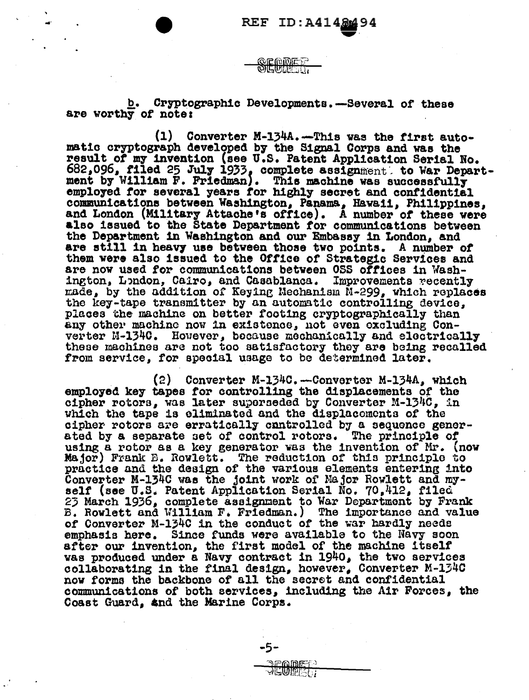Cryptographic Developments. - Several of these b. are worthy of note:

<u>QEQDET</u> **DIEMILE ST** 

 $(1)$ Converter M-134A. - This was the first automatic cryptograph developed by the Signal Corps and was the result of my invention (see U.S. Patent Application Serial No. 682,096, filed 25 July 1933, complete assignment, to War Department by William F. Friedman). This machine was successfully employed for several years for highly secret and confidential communications between Washington, Panama, Hawaii, Philippines, and London (Military Attache's office). A number of these were also issued to the State Department for communications between the Department in Washington and our Embassy in London, and are still in heavy use between those two points. A number of them were also issued to the Office of Strategic Services and are now used for communications between OSS offices in Washington, London, Cairo, and Casablanca. Improvements recently made, by the addition of Keying Mechanism M-299, which replaces the key-tape transmitter by an automatic controlling device, places the machine on better footing cryptographically than any other machine now in existence, not even excluding Converter M-1340. However, because mechanically and electrically these machines are not too satisfactory they are being recalled from service, for special usage to be determined later.

(2) Converter M-134C.--Converter M-134A. which employed key tapes for controlling the displacements of the cipher rotors, was later superseded by Converter M-134C, in which the tape is eliminated and the displacements of the cipher rotors are erratically cantrolled by a sequence gener-The principle of ated by a separate set of control rotors. using a rotor as a key generator was the invention of Mr. (now Major) Frank B. Rowlett. The reduction of this principle to practice and the design of the various elements entering into Converter M-134C was the joint work of Major Rowlett and my-<br>self (see U.S. Patent Application Serial No. 70,412, filed 23 March 1936, complete assignment to War Department by Frank **E. Rowlett and William F. Friedman.)** The importance and value of Converter M-134C in the conduct of the war hardly needs emphasis here. Since funds were available to the Navy soon after our invention, the first model of the machine itself was produced under a Navy contract in 1940, the two services collaborating in the final design, however, Converter M-134C now forms the backbone of all the secret and confidential communications of both services, including the Air Forces, the Coast Guard, and the Marine Corps.

-5-

**JEWRELI**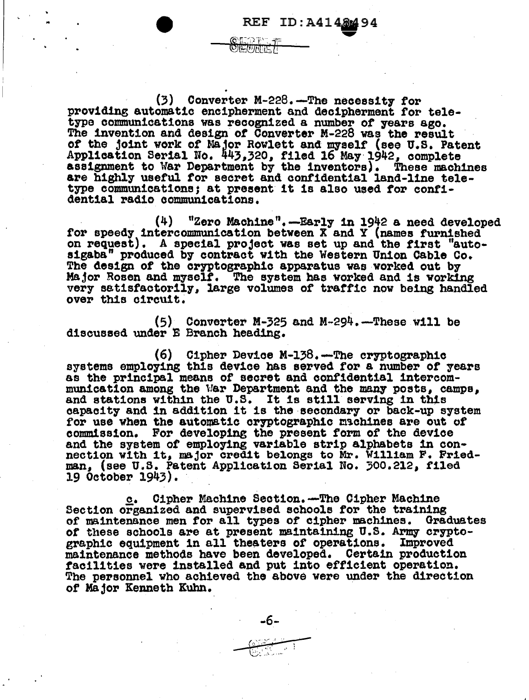$(3)$  Converter M-228.-The necessity for providing automatic encipherment and decipherment for teletype communications was recognized a number of years ago.<br>The invention and design of Converter M-228 was the result of the joint work of Major Rowlett and myself (see U.S. Patent Application Serial No. 443,320, filed 16 May 1942, complete assignment to War Department by the inventors). These machines assignment to War Department by the inventors). These machines<br>are highly useful for secret and confidential land-line teletype communications; at present it is also used for confident1al radio oommun1cat1ons.

**OLED BY OEUHET** 

REF ID:A4148494<br>DREF =

 $(4)$  "Zero Machine".--Early in 1942 a need developed for speedy intercommunication between X and Y (names furnished on request). A special project was set up and the first "autosigaba" produced by contract vith the Western Union Cable Co. The design *ot* the cryptographic apparatus was worked out by Major Rosen and myself. The system has worked and is working very satisfactorily, large volumes of traffic now being handled over this o1rcu1t.

 $(5)$  Converter M-325 and M-294.-These will be discussed under E Branch heading.

(6) Cipher Device M-138.-The cryptographic systems employing this device has served for a number *ot* years as the principal means or secret and confidential 1ntereommunication among the War Department and the many posts, camps, and stations within the U.S. It is still serving in this capacity and in addition it is the secondary or back-up system for use when the automatic oryptographic m3chines are out of commission. For developing the present form or the device and the system *ot* employing variable strip alpbabete 1n oonnection with it, major credit belongs to Mr. William F. Friedman, (see U.8. Patent Application Serial No. '00.212, filed 19 October 1943).

**e.** Cipher Machine Section.--The Cipher Machine<br>Section organized and supervised schools for the training of maintenance men for all types of cipher machines. Graduates of these schools are at present maintaining U.S. Army cryptographic equipment in all theaters of operations. Improved<br>maintenance methods have been developed. Certain production<br>facilities were installed and put into efficient operation.<br>The personnel who achieved the above were un of Major Kenneth Kuhn.  $-6-$ 

-6-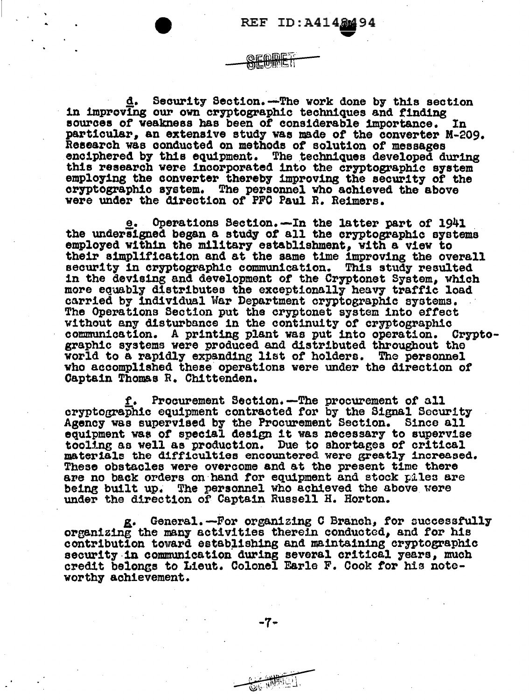Security Section. - The work done by this section in improving our own cryptographic techniques and finding sources of weakness has been of considerable importance. In. particular, an extensive study was made of the converter M-209. Research was conducted on methods of solution of messages enciphered by this equipment. The techniques developed during this research were incorporated into the cryptographic system employing the converter thereby improving the security of the cryptographic system. The personnel who achieved the above were under the direction of PFC Paul R. Reimers.

e. Operations Section.-In the latter part of 1941 the undersigned began a study of all the cryptographic systems employed within the military establishment, with a view to their simplification and at the same time improving the overall security in cryptographic communication. This study resulted in the devising and development of the Cryptonet System, which more equably distributes the exceptionally heavy traffic load carried by individual War Department cryptographic systems. The Operations Section put the cryptonet system into effect without any disturbance in the continuity of cryptographic communication. A printing plant was put into operation. Cryptographic systems were produced and distributed throughout the world to a rapidly expanding list of holders. The personnel who accomplished these operations were under the direction of Captain Thomas R. Chittenden.

f. Procurement Section.-The procurement of all cryptographic equipment contracted for by the Signal Security Agency was supervised by the Procurement Section. Since all equipment was of special design it was necessary to supervise tooling as well as production. Due to shortages of critical materials the difficulties encountered were greatly increased. These obstacles were overcome and at the present time there are no back orders on hand for equipment and stock piles are being built up. The personnel who achieved the above were under the direction of Captain Russell H. Horton.

g. General. -- For organizing C Branch, for successfully organizing the many activities therein conducted, and for his contribution toward establishing and maintaining cryptographic security in communication during several critical years, much credit belongs to Lieut. Colonel Earle F. Cook for his noteworthy achievement.

-7-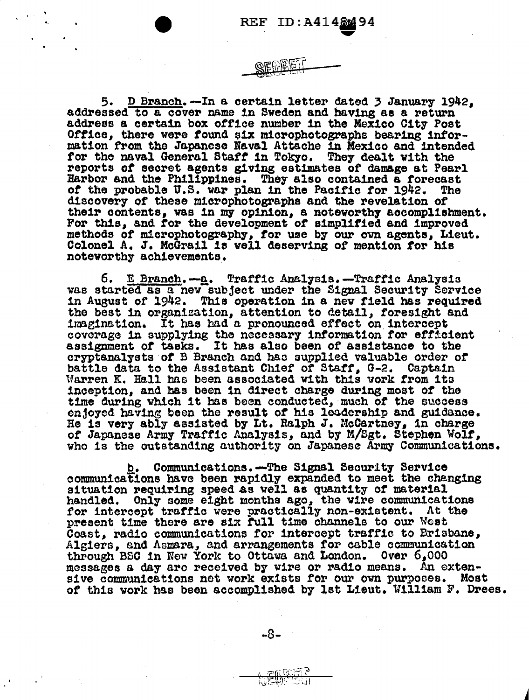5. D Branch.-In a certain letter dated 3 January 1942, addressed to a cover name in Sweden and having as a return address a certain box office number in the Mexico City Post Office, there were found six microphotographs bearing information from the Japanese Naval Attache in Mexico and intended for the naval General Staff in Tokyo. They dealt with the reports of secret agents giving estimates of damage at Pearl Harbor and the Philippines. They also contained a forecast of the probable U.S. war plan in the Pacific for 1942. **The** discovery of these microphotographs and the revelation of their contents, was in my opinion, a noteworthy accomplishment. For this, and for the development of simplified and improved methods of microphotography, for use by our own agents, Lieut. Colonel A. J. McGrail is well deserving of mention for his noteworthy achievements.

б. E Branch.-a. Traffic Analysis.-Traffic Analysis was started as a new subject under the Signal Security Service in August of 1942. This operation in a new field has required the best in organization, attention to detail, foresight and imagination. It has had a pronounced effect on intercept coverage in supplying the necessary information for efficient assignment of tasks. It has also been of assistance to the cryptanalysts of B Branch and has supplied valuable order of battle data to the Assistant Chief of Staff, G-2. Captain Warren K. Hall has been associated with this work from its inception, and has been in direct charge during most of the time during which it has been conducted, much of the success enfoyed having been the result of his leadership and guidance. He is very ably assisted by Lt. Ralph J. McCartney, in charge of Japanese Army Traffic Analysis, and by M/Sgt. Stephen Wolf, who is the outstanding authority on Japanese Army Communications.

b. Communications.-The Signal Security Service communications have been rapidly expanded to meet the changing situation requiring speed as well as quantity of material handled. Only some eight months ago, the wire communications for intercept traffic were practically non-existent. At the present time there are six full time channels to our West Coast, radio communications for intercept traffic to Brisbane, Algiers, and Asmara, and arrangements for cable communication through BSC in New York to Ottawa and London. Over 6.000 messages a day are received by wire or radio means. An extensive communications net work exists for our own purposes. Most of this work has been accomplished by lst Lieut. William F. Drees.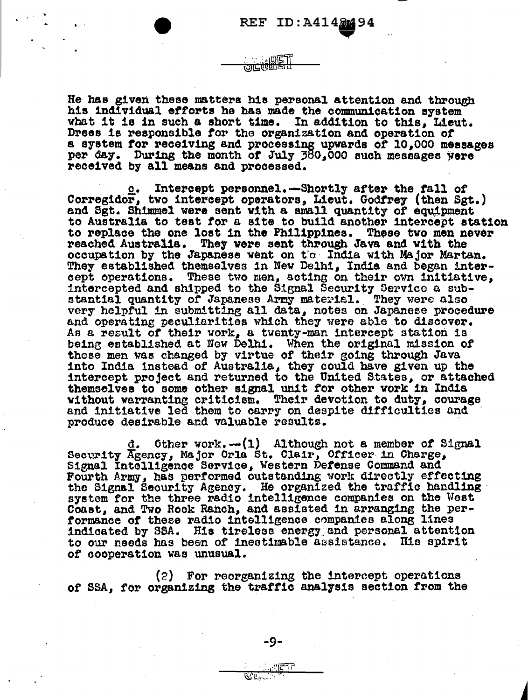He has given these matters his personal attention and through his individual efforts he has made the communication system what it is in such a short time. In addition to this, Lieut. Drees is responsible for the organization and operation of a system for receiving and processing upwards of 10,000 messages per day. During the month of July 380,000 such messages were received by all means and processed.

心区 त्याद्राणितान्त्र

Intercept personnel. -Shortly after the fall of Corregidor, two intercept operators, Lieut. Godfrey (then Sgt.) and Sgt. Shimmel were sent with a small quantity of equipment to Australia to test for a site to build another intercept station to replace the one lost in the Philippines. These two men never reached Australia. They were sent through Java and with the occupation by the Japanese went on the India with Major Martan. They established themselves in New Delhi, India and began intercept operations. These two men, acting on their own initiative, intercepted and shipped to the Signal Security Service a sub-<br>stantial quantity of Japanese Army material. They were also very helpful in submitting all data, notes on Japanese procedure and operating peculiarities which they were able to discover. As a result of their work, a twenty-man intercept station is being established at New Delhi. When the original mission of these men was changed by virtue of their going through Java into India instead of Australia, they could have given up the intercept project and returned to the United States, or attached themselves to some other signal unit for other work in India without warranting criticism. Their devotion to duty, courage and initiative led them to carry on despite difficulties and produce desirable and valuable results.

Other work.  $-(1)$  Although not a member of Signal Security Agency, Major Orla St. Clair, Officer in Charge, Signal Intelligence Service, Western Defense Command and Fourth Army, has performed outstanding work directly effecting the Signal Security Agency. He organized the traffic handling system for the three radio intelligence companies on the West Coast, and Two Rock Ranch, and assisted in arranging the performance of these radio intelligence companies along lines indicated by SSA. His tireless energy and personal attention to our needs has been of inestimable assistance. His spirit of cooperation was unusual.

(2) For reorganizing the intercept operations of SSA, for organizing the traffic analysis section from the

 $\mathcal{O}(\mathfrak{t}_n)$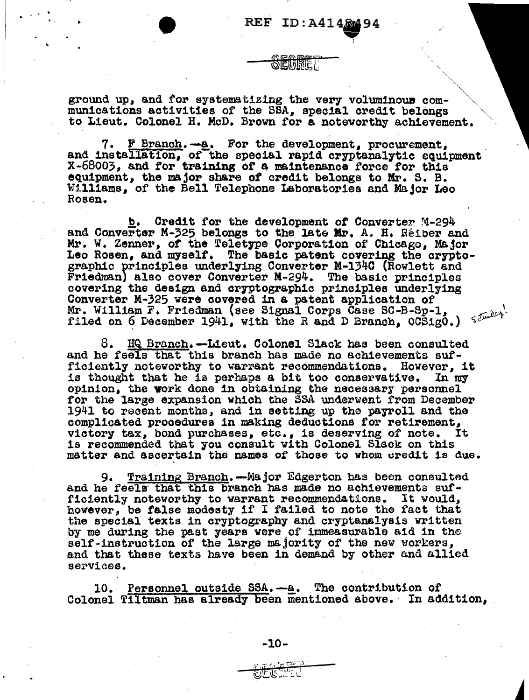deuine i

ground up, and for systematizing the very voluminous communications activities of the SSA, special credit belongs to Lieut. Colonel H. McD. Brown for a noteworthy achievement.

7. F Branch. - a. For the development, procurement, and installation, of the special rapid cryptanalytic equipment X-68003, and for training of a maintenance force for this equipment, the major share of credit belongs to Mr. S. B. Williams, of the Bell Telephone Laboratories and Major Leo Rosen.

Credit for the development of Converter M-294 and Converter M-325 belongs to the late Mr. A. H. Reiber and Mr. W. Zenner, of the Teletype Corporation of Chicago, Major Leo Rosen, and myself. The basic patent covering the cryptographic principles underlying Converter M-1340 (Rowlett and Friedman) also cover Converter M-294. The basic principles covering the design and cryptographic principles underlying Converter M-325 were covered in a patent application of filed on 6 December 1941, with the R and D Branch,  $OCS1g0.$ )  $S^{fmlc}$ 

8. HQ Branch.-Lieut. Colonel Slack has been consulted and he feels that this branch has made no achievements sufficiently noteworthy to warrant recommendations. However, it is thought that he is perhaps a bit too conservative. In my opinion, the work done in obtaining the necessary personnel for the large expansion which the SSA underwent from December 1941 to recent months, and in setting up the payroll and the complicated procedures in making deductions for retirement, victory tax, bond purchases, etc., is deserving of note. Its recommended that you consult with Colonel Slack on this It matter and ascertain the names of those to whom credit is due.

Training Branch. - Major Edgerton has been consulted 9. and he feels that this branch has made no achievements sufficiently noteworthy to warrant recommendations. It would, however, be false modesty if I failed to note the fact that the special texts in cryptography and cryptanalysis written by me during the past years were of immeasurable aid in the self-instruction of the large majority of the new workers, and that these texts have been in demand by other and allied services.

10. Personnel outside SSA. - a. The contribution of Colonel Tiltman has already been mentioned above. In addition.

 $\text{CCE} \rightarrow \text{C}$